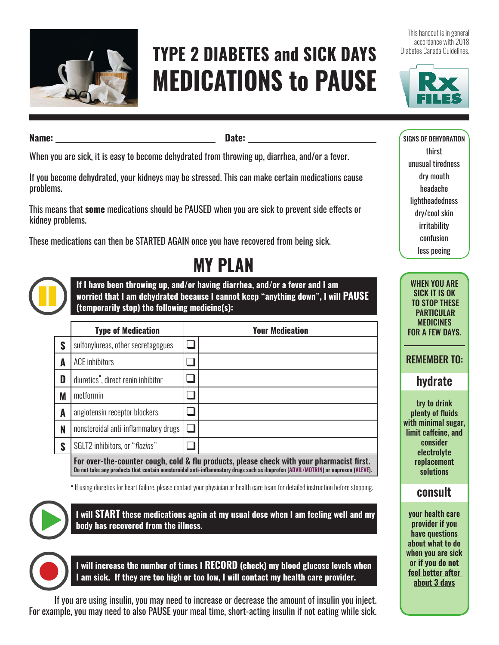

# **TYPE 2 DIABETES and SICK DAYS MEDICATIONS to PAUSE**

This handout is in general accordance with 2018 Diabetes Canada Guidelines.



**Name: Date:** 

When you are sick, it is easy to become dehydrated from throwing up, diarrhea, and/or a fever.

If you become dehydrated, your kidneys may be stressed. This can make certain medications cause problems.

This means that **some** medications should be PAUSED when you are sick to prevent side effects or kidney problems.

These medications can then be STARTED AGAIN once you have recovered from being sick.

**If I have been throwing up, and/or having diarrhea, and/or a fever and I am worried that I am dehydrated because I cannot keep "anything down", I will PAUSE**

**MY PLAN**

**(temporarily stop) the following medicine(s):**

|   | <b>Type of Medication</b>                                                                                                                                                                                                     | <b>Your Medication</b> |  |  |  |
|---|-------------------------------------------------------------------------------------------------------------------------------------------------------------------------------------------------------------------------------|------------------------|--|--|--|
| S | sulfonylureas, other secretagogues                                                                                                                                                                                            |                        |  |  |  |
| A | <b>ACE</b> inhibitors                                                                                                                                                                                                         |                        |  |  |  |
| D | diuretics <sup>*</sup> , direct renin inhibitor                                                                                                                                                                               |                        |  |  |  |
| M | metformin                                                                                                                                                                                                                     |                        |  |  |  |
| A | angiotensin receptor blockers                                                                                                                                                                                                 |                        |  |  |  |
| N | nonsteroidal anti-inflammatory drugs                                                                                                                                                                                          |                        |  |  |  |
| S | SGLT2 inhibitors, or "flozins"                                                                                                                                                                                                |                        |  |  |  |
|   | For over-the-counter cough, cold & flu products, please check with your pharmacist first.<br>Do not take any products that contain nonsteroidal anti-inflammatory drugs such as ibuprofen (ADVIL/MOTRIN) or naproxen (ALEVE). |                        |  |  |  |

**\*** If using diuretics for heart failure, please contact your physician or health care team for detailed instruction before stopping.



**I will START these medications again at my usual dose when I am feeling well and my body has recovered from the illness.** 

**I will increase the number of times I RECORD (check) my blood glucose levels when I am sick. If they are too high or too low, I will contact my health care provider.** 

If you are using insulin, you may need to increase or decrease the amount of insulin you inject. For example, you may need to also PAUSE your meal time, short-acting insulin if not eating while sick. SIGNS OF DEHYDRATION thirst unusual tiredness dry mouth headache lightheadedness dry/cool skin irritability confusion less peeing

WHEN YOU ARE SICK IT IS OK TO STOP THESE PARTICULAR MEDICINES FOR A FEW DAYS.

REMEMBER TO:

## hydrate

try to drink plenty of fluids with minimal sugar, limit caffeine, and consider electrolyte replacement solutions

#### consult

your health care provider if you have questions about what to do when you are sick or **if you do not feel better after about 3 days**